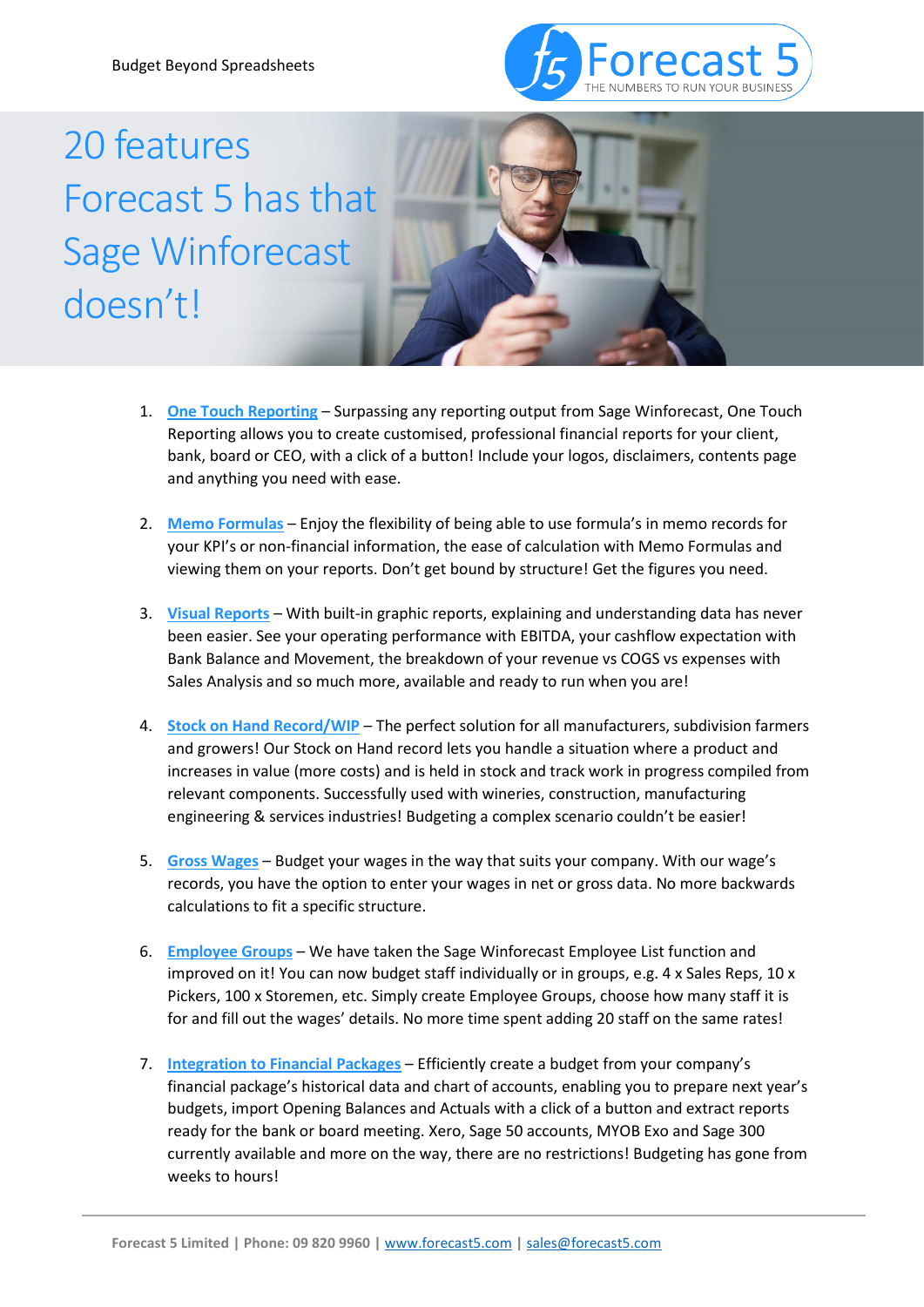

## 20 features Forecast 5 has that Sage Winforecast doesn't!



- 1. **One Touch Reporting** Surpassing any reporting output from Sage Winforecast, One Touch Reporting allows you to create customised, professional financial reports for your client, bank, board or CEO, with a click of a button! Include your logos, disclaimers, contents page and anything you need with ease.
- 2. **Memo Formulas** Enjoy the flexibility of being able to use formula's in memo records for your KPI's or non-financial information, the ease of calculation with Memo Formulas and viewing them on your reports. Don't get bound by structure! Get the figures you need.
- 3. **Visual Reports** With built-in graphic reports, explaining and understanding data has never been easier. See your operating performance with EBITDA, your cashflow expectation with Bank Balance and Movement, the breakdown of your revenue vs COGS vs expenses with Sales Analysis and so much more, available and ready to run when you are!
- 4. **Stock on Hand Record/WIP** The perfect solution for all manufacturers, subdivision farmers and growers! Our Stock on Hand record lets you handle a situation where a product and increases in value (more costs) and is held in stock and track work in progress compiled from relevant components. Successfully used with wineries, construction, manufacturing engineering & services industries! Budgeting a complex scenario couldn't be easier!
- 5. **Gross Wages** Budget your wages in the way that suits your company. With our wage's records, you have the option to enter your wages in net or gross data. No more backwards calculations to fit a specific structure.
- 6. **Employee Groups** We have taken the Sage Winforecast Employee List function and improved on it! You can now budget staff individually or in groups, e.g.  $4 \times$  Sales Reps,  $10 \times$ Pickers, 100 x Storemen, etc. Simply create Employee Groups, choose how many staff it is for and fill out the wages' details. No more time spent adding 20 staff on the same rates!
- 7. **Integration to Financial Packages** Efficiently create a budget from your company's financial package's historical data and chart of accounts, enabling you to prepare next year's budgets, import Opening Balances and Actuals with a click of a button and extract reports ready for the bank or board meeting. Xero, Sage 50 accounts, MYOB Exo and Sage 300 currently available and more on the way, there are no restrictions! Budgeting has gone from weeks to hours!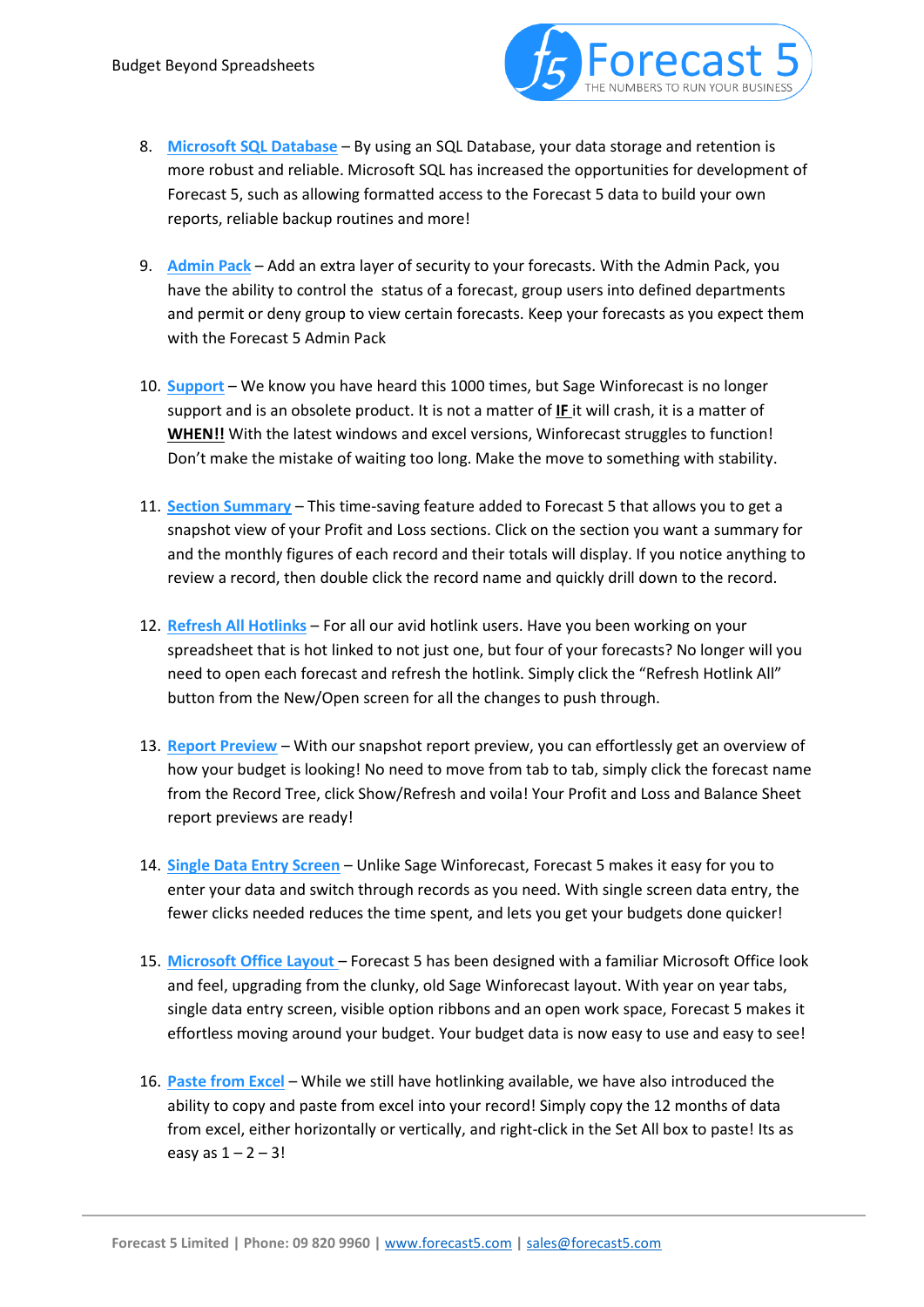

- 8. **Microsoft SQL Database** By using an SQL Database, your data storage and retention is more robust and reliable. Microsoft SQL has increased the opportunities for development of Forecast 5, such as allowing formatted access to the Forecast 5 data to build your own reports, reliable backup routines and more!
- 9. **Admin Pack** Add an extra layer of security to your forecasts. With the Admin Pack, you have the ability to control the status of a forecast, group users into defined departments and permit or deny group to view certain forecasts. Keep your forecasts as you expect them with the Forecast 5 Admin Pack
- 10. **Support** We know you have heard this 1000 times, but Sage Winforecast is no longer support and is an obsolete product. It is not a matter of **IF** it will crash, it is a matter of **WHEN!!** With the latest windows and excel versions, Winforecast struggles to function! Don't make the mistake of waiting too long. Make the move to something with stability.
- 11. **Section Summary** This time-saving feature added to Forecast 5 that allows you to get a snapshot view of your Profit and Loss sections. Click on the section you want a summary for and the monthly figures of each record and their totals will display. If you notice anything to review a record, then double click the record name and quickly drill down to the record.
- 12. **Refresh All Hotlinks** For all our avid hotlink users. Have you been working on your spreadsheet that is hot linked to not just one, but four of your forecasts? No longer will you need to open each forecast and refresh the hotlink. Simply click the "Refresh Hotlink All" button from the New/Open screen for all the changes to push through.
- 13. **Report Preview** With our snapshot report preview, you can effortlessly get an overview of how your budget is looking! No need to move from tab to tab, simply click the forecast name from the Record Tree, click Show/Refresh and voila! Your Profit and Loss and Balance Sheet report previews are ready!
- 14. **Single Data Entry Screen** Unlike Sage Winforecast, Forecast 5 makes it easy for you to enter your data and switch through records as you need. With single screen data entry, the fewer clicks needed reduces the time spent, and lets you get your budgets done quicker!
- 15. **Microsoft Office Layout**  Forecast 5 has been designed with a familiar Microsoft Office look and feel, upgrading from the clunky, old Sage Winforecast layout. With year on year tabs, single data entry screen, visible option ribbons and an open work space, Forecast 5 makes it effortless moving around your budget. Your budget data is now easy to use and easy to see!
- 16. **Paste from Excel** While we still have hotlinking available, we have also introduced the ability to copy and paste from excel into your record! Simply copy the 12 months of data from excel, either horizontally or vertically, and right-click in the Set All box to paste! Its as easy as  $1 - 2 - 3!$